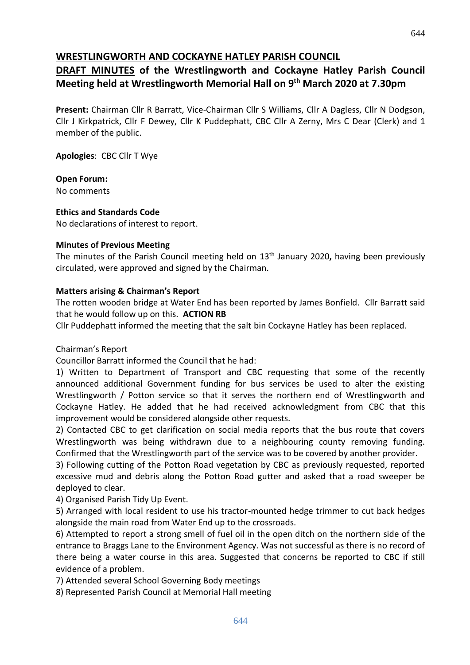# **WRESTLINGWORTH AND COCKAYNE HATLEY PARISH COUNCIL**

# **DRAFT MINUTES of the Wrestlingworth and Cockayne Hatley Parish Council Meeting held at Wrestlingworth Memorial Hall on 9 th March 2020 at 7.30pm**

**Present:** Chairman Cllr R Barratt, Vice-Chairman Cllr S Williams, Cllr A Dagless, Cllr N Dodgson, Cllr J Kirkpatrick, Cllr F Dewey, Cllr K Puddephatt, CBC Cllr A Zerny, Mrs C Dear (Clerk) and 1 member of the public.

**Apologies**: CBC Cllr T Wye

**Open Forum:** No comments

**Ethics and Standards Code**

No declarations of interest to report.

## **Minutes of Previous Meeting**

The minutes of the Parish Council meeting held on 13th January 2020**,** having been previously circulated, were approved and signed by the Chairman.

## **Matters arising & Chairman's Report**

The rotten wooden bridge at Water End has been reported by James Bonfield. Cllr Barratt said that he would follow up on this. **ACTION RB**

Cllr Puddephatt informed the meeting that the salt bin Cockayne Hatley has been replaced.

Chairman's Report

Councillor Barratt informed the Council that he had:

1) Written to Department of Transport and CBC requesting that some of the recently announced additional Government funding for bus services be used to alter the existing Wrestlingworth / Potton service so that it serves the northern end of Wrestlingworth and Cockayne Hatley. He added that he had received acknowledgment from CBC that this improvement would be considered alongside other requests.

2) Contacted CBC to get clarification on social media reports that the bus route that covers Wrestlingworth was being withdrawn due to a neighbouring county removing funding. Confirmed that the Wrestlingworth part of the service was to be covered by another provider.

3) Following cutting of the Potton Road vegetation by CBC as previously requested, reported excessive mud and debris along the Potton Road gutter and asked that a road sweeper be deployed to clear.

4) Organised Parish Tidy Up Event.

5) Arranged with local resident to use his tractor-mounted hedge trimmer to cut back hedges alongside the main road from Water End up to the crossroads.

6) Attempted to report a strong smell of fuel oil in the open ditch on the northern side of the entrance to Braggs Lane to the Environment Agency. Was not successful as there is no record of there being a water course in this area. Suggested that concerns be reported to CBC if still evidence of a problem.

7) Attended several School Governing Body meetings

8) Represented Parish Council at Memorial Hall meeting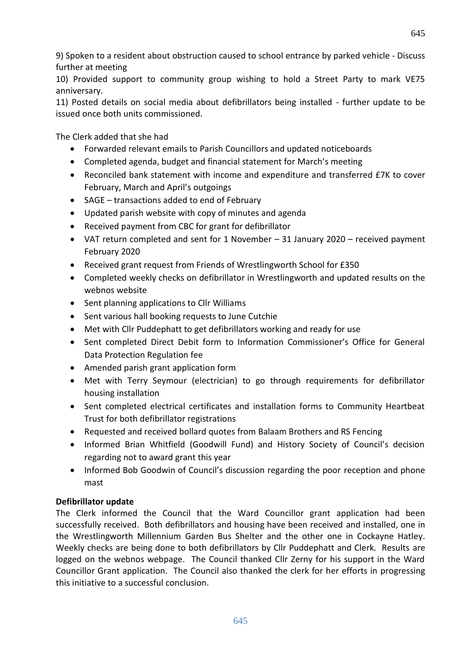9) Spoken to a resident about obstruction caused to school entrance by parked vehicle - Discuss further at meeting

10) Provided support to community group wishing to hold a Street Party to mark VE75 anniversary.

11) Posted details on social media about defibrillators being installed - further update to be issued once both units commissioned.

The Clerk added that she had

- Forwarded relevant emails to Parish Councillors and updated noticeboards
- Completed agenda, budget and financial statement for March's meeting
- Reconciled bank statement with income and expenditure and transferred £7K to cover February, March and April's outgoings
- SAGE transactions added to end of February
- Updated parish website with copy of minutes and agenda
- Received payment from CBC for grant for defibrillator
- VAT return completed and sent for 1 November 31 January 2020 received payment February 2020
- Received grant request from Friends of Wrestlingworth School for £350
- Completed weekly checks on defibrillator in Wrestlingworth and updated results on the webnos website
- Sent planning applications to Cllr Williams
- Sent various hall booking requests to June Cutchie
- Met with Cllr Puddephatt to get defibrillators working and ready for use
- Sent completed Direct Debit form to Information Commissioner's Office for General Data Protection Regulation fee
- Amended parish grant application form
- Met with Terry Seymour (electrician) to go through requirements for defibrillator housing installation
- Sent completed electrical certificates and installation forms to Community Heartbeat Trust for both defibrillator registrations
- Requested and received bollard quotes from Balaam Brothers and RS Fencing
- Informed Brian Whitfield (Goodwill Fund) and History Society of Council's decision regarding not to award grant this year
- Informed Bob Goodwin of Council's discussion regarding the poor reception and phone mast

## **Defibrillator update**

The Clerk informed the Council that the Ward Councillor grant application had been successfully received. Both defibrillators and housing have been received and installed, one in the Wrestlingworth Millennium Garden Bus Shelter and the other one in Cockayne Hatley. Weekly checks are being done to both defibrillators by Cllr Puddephatt and Clerk. Results are logged on the webnos webpage. The Council thanked Cllr Zerny for his support in the Ward Councillor Grant application. The Council also thanked the clerk for her efforts in progressing this initiative to a successful conclusion.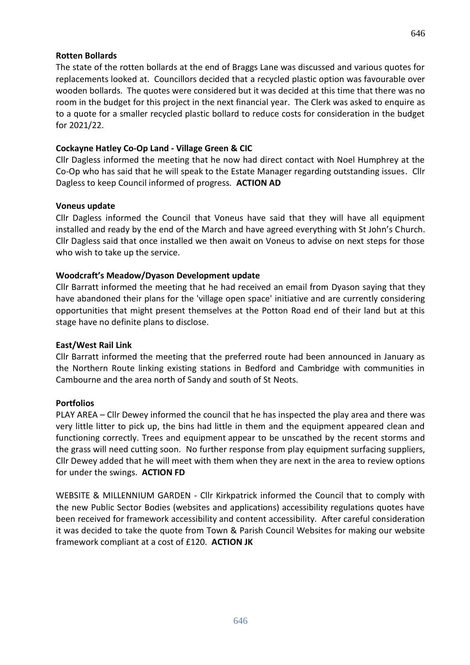#### **Rotten Bollards**

The state of the rotten bollards at the end of Braggs Lane was discussed and various quotes for replacements looked at. Councillors decided that a recycled plastic option was favourable over wooden bollards. The quotes were considered but it was decided at this time that there was no room in the budget for this project in the next financial year. The Clerk was asked to enquire as to a quote for a smaller recycled plastic bollard to reduce costs for consideration in the budget for 2021/22.

#### **Cockayne Hatley Co-Op Land - Village Green & CIC**

Cllr Dagless informed the meeting that he now had direct contact with Noel Humphrey at the Co-Op who has said that he will speak to the Estate Manager regarding outstanding issues. Cllr Dagless to keep Council informed of progress. **ACTION AD**

#### **Voneus update**

Cllr Dagless informed the Council that Voneus have said that they will have all equipment installed and ready by the end of the March and have agreed everything with St John's Church. Cllr Dagless said that once installed we then await on Voneus to advise on next steps for those who wish to take up the service.

#### **Woodcraft's Meadow/Dyason Development update**

Cllr Barratt informed the meeting that he had received an email from Dyason saying that they have abandoned their plans for the 'village open space' initiative and are currently considering opportunities that might present themselves at the Potton Road end of their land but at this stage have no definite plans to disclose.

#### **East/West Rail Link**

Cllr Barratt informed the meeting that the preferred route had been announced in January as the Northern Route linking existing stations in Bedford and Cambridge with communities in Cambourne and the area north of Sandy and south of St Neots.

#### **Portfolios**

PLAY AREA – Cllr Dewey informed the council that he has inspected the play area and there was very little litter to pick up, the bins had little in them and the equipment appeared clean and functioning correctly. Trees and equipment appear to be unscathed by the recent storms and the grass will need cutting soon. No further response from play equipment surfacing suppliers, Cllr Dewey added that he will meet with them when they are next in the area to review options for under the swings. **ACTION FD**

WEBSITE & MILLENNIUM GARDEN - Cllr Kirkpatrick informed the Council that to comply with the new Public Sector Bodies (websites and applications) accessibility regulations quotes have been received for framework accessibility and content accessibility. After careful consideration it was decided to take the quote from Town & Parish Council Websites for making our website framework compliant at a cost of £120. **ACTION JK**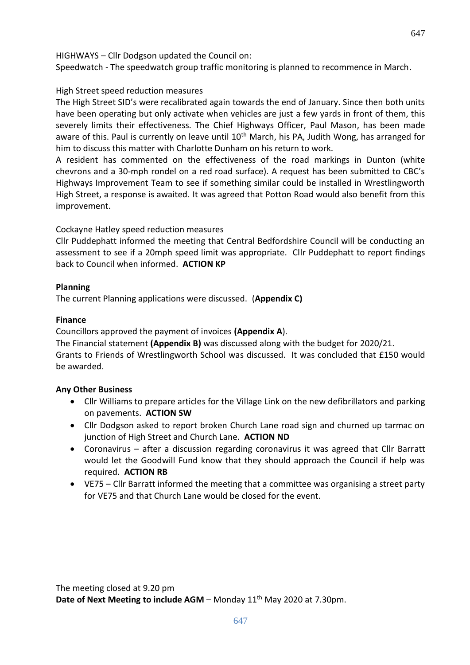HIGHWAYS – Cllr Dodgson updated the Council on:

Speedwatch - The speedwatch group traffic monitoring is planned to recommence in March.

## High Street speed reduction measures

The High Street SID's were recalibrated again towards the end of January. Since then both units have been operating but only activate when vehicles are just a few yards in front of them, this severely limits their effectiveness. The Chief Highways Officer, Paul Mason, has been made aware of this. Paul is currently on leave until 10<sup>th</sup> March, his PA, Judith Wong, has arranged for him to discuss this matter with Charlotte Dunham on his return to work.

A resident has commented on the effectiveness of the road markings in Dunton (white chevrons and a 30-mph rondel on a red road surface). A request has been submitted to CBC's Highways Improvement Team to see if something similar could be installed in Wrestlingworth High Street, a response is awaited. It was agreed that Potton Road would also benefit from this improvement.

Cockayne Hatley speed reduction measures

Cllr Puddephatt informed the meeting that Central Bedfordshire Council will be conducting an assessment to see if a 20mph speed limit was appropriate. Cllr Puddephatt to report findings back to Council when informed. **ACTION KP**

### **Planning**

The current Planning applications were discussed. (**Appendix C)**

### **Finance**

Councillors approved the payment of invoices **(Appendix A**).

The Financial statement **(Appendix B)** was discussed along with the budget for 2020/21. Grants to Friends of Wrestlingworth School was discussed. It was concluded that £150 would be awarded.

## **Any Other Business**

- Cllr Williams to prepare articles for the Village Link on the new defibrillators and parking on pavements. **ACTION SW**
- Cllr Dodgson asked to report broken Church Lane road sign and churned up tarmac on junction of High Street and Church Lane. **ACTION ND**
- Coronavirus after a discussion regarding coronavirus it was agreed that Cllr Barratt would let the Goodwill Fund know that they should approach the Council if help was required. **ACTION RB**
- VE75 Cllr Barratt informed the meeting that a committee was organising a street party for VE75 and that Church Lane would be closed for the event.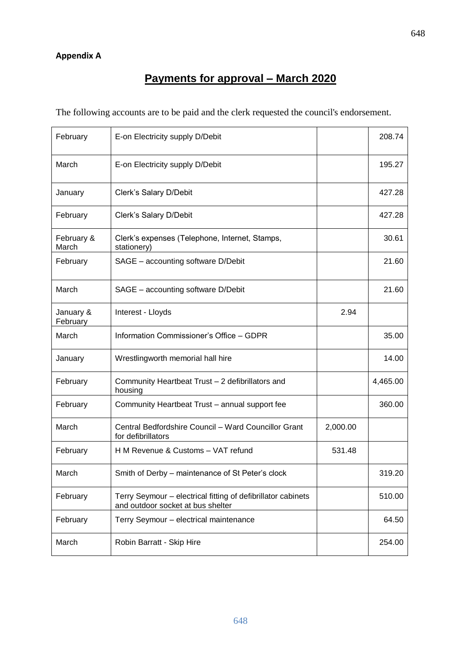## **Appendix A**

# **Payments for approval – March 2020**

The following accounts are to be paid and the clerk requested the council's endorsement.

| February              | E-on Electricity supply D/Debit                                                                   |          | 208.74   |
|-----------------------|---------------------------------------------------------------------------------------------------|----------|----------|
| March                 | E-on Electricity supply D/Debit                                                                   |          | 195.27   |
| January               | Clerk's Salary D/Debit                                                                            |          | 427.28   |
| February              | Clerk's Salary D/Debit                                                                            |          | 427.28   |
| February &<br>March   | Clerk's expenses (Telephone, Internet, Stamps,<br>stationery)                                     |          | 30.61    |
| February              | SAGE - accounting software D/Debit                                                                |          | 21.60    |
| March                 | SAGE - accounting software D/Debit                                                                |          | 21.60    |
| January &<br>February | Interest - Lloyds                                                                                 | 2.94     |          |
| March                 | Information Commissioner's Office - GDPR                                                          |          | 35.00    |
| January               | Wrestlingworth memorial hall hire                                                                 |          | 14.00    |
| February              | Community Heartbeat Trust - 2 defibrillators and<br>housing                                       |          | 4,465.00 |
| February              | Community Heartbeat Trust - annual support fee                                                    |          | 360.00   |
| March                 | Central Bedfordshire Council - Ward Councillor Grant<br>for defibrillators                        | 2,000.00 |          |
| February              | H M Revenue & Customs - VAT refund                                                                | 531.48   |          |
| March                 | Smith of Derby – maintenance of St Peter's clock                                                  |          | 319.20   |
| February              | Terry Seymour - electrical fitting of defibrillator cabinets<br>and outdoor socket at bus shelter |          | 510.00   |
| February              | Terry Seymour - electrical maintenance                                                            |          | 64.50    |
| March                 | Robin Barratt - Skip Hire                                                                         |          | 254.00   |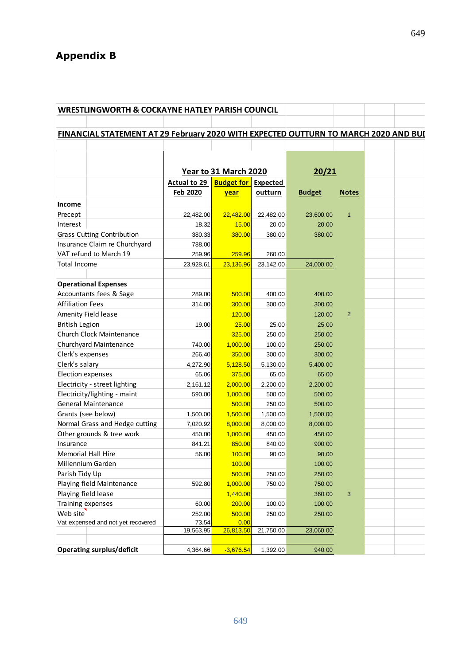# **Appendix B**

| <b>WRESTLINGWORTH &amp; COCKAYNE HATLEY PARISH COUNCIL</b>                          |                       |                            |           |               |                |  |
|-------------------------------------------------------------------------------------|-----------------------|----------------------------|-----------|---------------|----------------|--|
|                                                                                     |                       |                            |           |               |                |  |
| FINANCIAL STATEMENT AT 29 February 2020 WITH EXPECTED OUTTURN TO MARCH 2020 AND BUL |                       |                            |           |               |                |  |
|                                                                                     |                       |                            |           |               |                |  |
|                                                                                     |                       |                            |           |               |                |  |
|                                                                                     |                       |                            |           |               |                |  |
|                                                                                     | Year to 31 March 2020 |                            |           | 20/21         |                |  |
|                                                                                     | Actual to 29          | <b>Budget for Expected</b> |           |               |                |  |
|                                                                                     | <b>Feb 2020</b>       | year                       | outturn   | <b>Budget</b> | <b>Notes</b>   |  |
| Income                                                                              |                       |                            |           |               |                |  |
| Precept                                                                             | 22,482.00             | 22,482.00                  | 22,482.00 | 23,600.00     | $\mathbf{1}$   |  |
| Interest                                                                            | 18.32                 | 15.00                      | 20.00     | 20.00         |                |  |
| <b>Grass Cutting Contribution</b>                                                   | 380.33                | 380.00                     | 380.00    | 380.00        |                |  |
| Insurance Claim re Churchyard                                                       | 788.00                |                            |           |               |                |  |
| VAT refund to March 19                                                              | 259.96                | 259.96                     | 260.00    |               |                |  |
| <b>Total Income</b>                                                                 | 23,928.61             | 23,136.96                  | 23,142.00 | 24,000.00     |                |  |
|                                                                                     |                       |                            |           |               |                |  |
| <b>Operational Expenses</b>                                                         |                       |                            |           |               |                |  |
| Accountants fees & Sage                                                             | 289.00                | 500.00                     | 400.00    | 400.00        |                |  |
| <b>Affiliation Fees</b>                                                             | 314.00                | 300.00                     | 300.00    | 300.00        |                |  |
| Amenity Field lease                                                                 |                       | 120.00                     |           | 120.00        | $\overline{2}$ |  |
| <b>British Legion</b>                                                               | 19.00                 | 25.00                      | 25.00     | 25.00         |                |  |
| Church Clock Maintenance                                                            |                       | 325.00                     | 250.00    | 250.00        |                |  |
| Churchyard Maintenance                                                              | 740.00                | 1,000.00                   | 100.00    | 250.00        |                |  |
| Clerk's expenses                                                                    | 266.40                | 350.00                     | 300.00    | 300.00        |                |  |
| Clerk's salary                                                                      | 4,272.90              | 5,128.50                   | 5,130.00  | 5,400.00      |                |  |
| Election expenses                                                                   | 65.06                 | 375.00                     | 65.00     | 65.00         |                |  |
| Electricity - street lighting                                                       | 2,161.12              | 2,000.00                   | 2,200.00  | 2,200.00      |                |  |
| Electricity/lighting - maint                                                        | 590.00                | 1,000.00                   | 500.00    | 500.00        |                |  |
| <b>General Maintenance</b>                                                          |                       | 500.00                     | 250.00    | 500.00        |                |  |
| Grants (see below)                                                                  | 1,500.00              | 1,500.00                   | 1,500.00  | 1,500.00      |                |  |
| Normal Grass and Hedge cutting                                                      | 7,020.92              | 8,000.00                   | 8,000.00  | 8,000.00      |                |  |
| Other grounds & tree work                                                           | 450.00                | 1,000.00                   | 450.00    | 450.00        |                |  |
| Insurance                                                                           | 841.21                | 850.00                     | 840.00    | 900.00        |                |  |
| <b>Memorial Hall Hire</b>                                                           | 56.00                 | 100.00                     | 90.00     | 90.00         |                |  |
| Millennium Garden                                                                   |                       | 100.00                     |           | 100.00        |                |  |
| Parish Tidy Up                                                                      |                       | 500.00                     | 250.00    | 250.00        |                |  |
| Playing field Maintenance                                                           | 592.80                | 1,000.00                   | 750.00    | 750.00        |                |  |
| Playing field lease                                                                 |                       | 1,440.00                   |           | 360.00        | $\mathbf{3}$   |  |
| Training expenses                                                                   | 60.00                 | 200.00                     | 100.00    | 100.00        |                |  |
| Web site                                                                            | 252.00                | 500.00                     | 250.00    | 250.00        |                |  |
| Vat expensed and not yet recovered                                                  | 73.54                 | 0.00                       |           |               |                |  |
|                                                                                     | 19,563.95             | 26,813.50                  | 21,750.00 | 23,060.00     |                |  |
| <b>Operating surplus/deficit</b>                                                    |                       |                            |           | 940.00        |                |  |
|                                                                                     | 4,364.66              | $-3,676.54$                | 1,392.00  |               |                |  |

649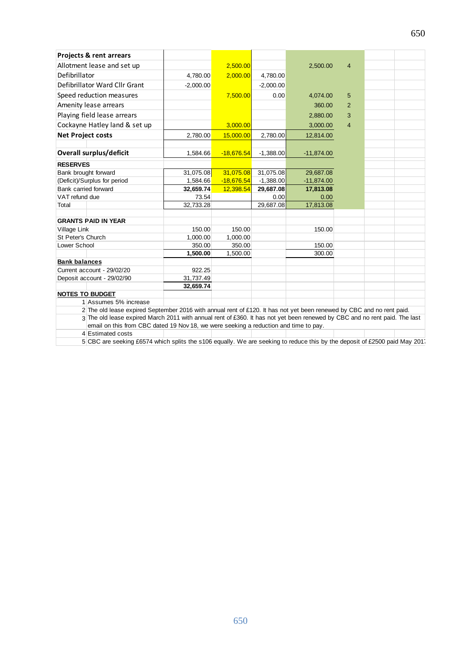| <b>Projects &amp; rent arrears</b>                                                                                                                                                                                 |             |              |             |              |                |  |  |
|--------------------------------------------------------------------------------------------------------------------------------------------------------------------------------------------------------------------|-------------|--------------|-------------|--------------|----------------|--|--|
| Allotment lease and set up                                                                                                                                                                                         |             | 2.500.00     |             | 2,500.00     | $\overline{4}$ |  |  |
| Defibrillator                                                                                                                                                                                                      | 4,780.00    | 2,000.00     | 4,780.00    |              |                |  |  |
| Defibrillator Ward Cllr Grant                                                                                                                                                                                      | $-2.000.00$ |              | $-2,000.00$ |              |                |  |  |
| Speed reduction measures                                                                                                                                                                                           |             | 7,500.00     | 0.00        | 4,074.00     | 5              |  |  |
| Amenity lease arrears                                                                                                                                                                                              |             |              |             | 360.00       | $\overline{2}$ |  |  |
| Playing field lease arrears                                                                                                                                                                                        |             |              |             | 2.880.00     | 3              |  |  |
| Cockayne Hatley land & set up                                                                                                                                                                                      |             | 3.000.00     |             | 3.000.00     | $\overline{4}$ |  |  |
| <b>Net Project costs</b>                                                                                                                                                                                           | 2,780.00    | 15,000.00    | 2,780.00    | 12,814.00    |                |  |  |
|                                                                                                                                                                                                                    |             |              |             |              |                |  |  |
| <b>Overall surplus/deficit</b>                                                                                                                                                                                     | 1,584.66    | $-18,676.54$ | $-1,388.00$ | $-11,874.00$ |                |  |  |
| <b>RESERVES</b>                                                                                                                                                                                                    |             |              |             |              |                |  |  |
| Bank brought forward                                                                                                                                                                                               | 31,075.08   | 31,075.08    | 31,075.08   | 29,687.08    |                |  |  |
| (Deficit)/Surplus for period                                                                                                                                                                                       | 1,584.66    | $-18,676.54$ | $-1,388.00$ | $-11,874.00$ |                |  |  |
| Bank carried forward                                                                                                                                                                                               | 32.659.74   | 12,398.54    | 29,687.08   | 17,813.08    |                |  |  |
| VAT refund due                                                                                                                                                                                                     | 73.54       |              | 0.00        | 0.00         |                |  |  |
| Total                                                                                                                                                                                                              | 32.733.28   |              | 29,687.08   | 17,813.08    |                |  |  |
|                                                                                                                                                                                                                    |             |              |             |              |                |  |  |
| <b>GRANTS PAID IN YEAR</b>                                                                                                                                                                                         |             |              |             |              |                |  |  |
| Village Link                                                                                                                                                                                                       | 150.00      | 150.00       |             | 150.00       |                |  |  |
| St Peter's Church                                                                                                                                                                                                  | 1,000.00    | 1,000.00     |             |              |                |  |  |
| Lower School                                                                                                                                                                                                       | 350.00      | 350.00       |             | 150.00       |                |  |  |
|                                                                                                                                                                                                                    | 1,500.00    | 1,500.00     |             | 300.00       |                |  |  |
| <b>Bank balances</b>                                                                                                                                                                                               |             |              |             |              |                |  |  |
| Current account - 29/02/20                                                                                                                                                                                         | 922.25      |              |             |              |                |  |  |
| Deposit account - 29/02/90                                                                                                                                                                                         | 31,737.49   |              |             |              |                |  |  |
|                                                                                                                                                                                                                    | 32,659.74   |              |             |              |                |  |  |
| <b>NOTES TO BUDGET</b>                                                                                                                                                                                             |             |              |             |              |                |  |  |
| 1 Assumes 5% increase                                                                                                                                                                                              |             |              |             |              |                |  |  |
| 2 The old lease expired September 2016 with annual rent of £120. It has not yet been renewed by CBC and no rent paid.                                                                                              |             |              |             |              |                |  |  |
| 3 The old lease expired March 2011 with annual rent of £360. It has not yet been renewed by CBC and no rent paid. The last<br>email on this from CBC dated 19 Nov 18, we were seeking a reduction and time to pay. |             |              |             |              |                |  |  |
| 4 Estimated costs                                                                                                                                                                                                  |             |              |             |              |                |  |  |
|                                                                                                                                                                                                                    |             |              |             |              |                |  |  |

5 CBC are seeking £6574 which splits the s106 equally. We are seeking to reduce this by the deposit of £2500 paid May 2017.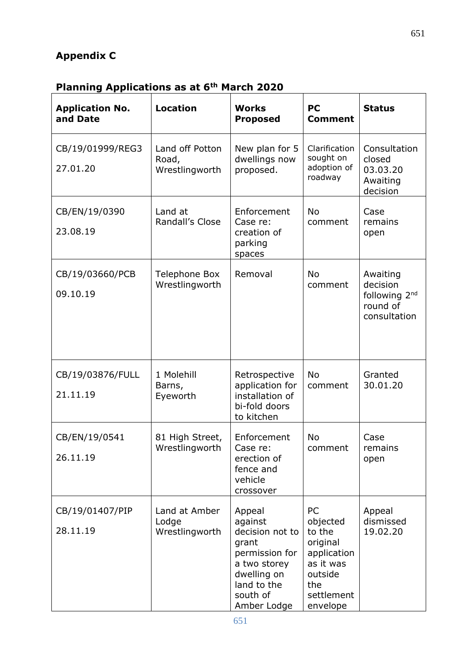# **Appendix C**

# **Planning Applications as at 6th March 2020**

| <b>Application No.</b><br>and Date | <b>Location</b>                            | <b>Works</b><br><b>Proposed</b>                                                                                                          | <b>PC</b><br><b>Comment</b>                                                                                  | <b>Status</b>                                                                 |
|------------------------------------|--------------------------------------------|------------------------------------------------------------------------------------------------------------------------------------------|--------------------------------------------------------------------------------------------------------------|-------------------------------------------------------------------------------|
| CB/19/01999/REG3<br>27.01.20       | Land off Potton<br>Road,<br>Wrestlingworth | New plan for 5<br>dwellings now<br>proposed.                                                                                             | Clarification<br>sought on<br>adoption of<br>roadway                                                         | Consultation<br>closed<br>03.03.20<br>Awaiting<br>decision                    |
| CB/EN/19/0390<br>23.08.19          | Land at<br>Randall's Close                 | Enforcement<br>Case re:<br>creation of<br>parking<br>spaces                                                                              | <b>No</b><br>comment                                                                                         | Case<br>remains<br>open                                                       |
| CB/19/03660/PCB<br>09.10.19        | <b>Telephone Box</b><br>Wrestlingworth     | Removal                                                                                                                                  | <b>No</b><br>comment                                                                                         | Awaiting<br>decision<br>following 2 <sup>nd</sup><br>round of<br>consultation |
| CB/19/03876/FULL<br>21.11.19       | 1 Molehill<br>Barns,<br>Eyeworth           | Retrospective<br>application for<br>installation of<br>bi-fold doors<br>to kitchen                                                       | <b>No</b><br>comment                                                                                         | Granted<br>30.01.20                                                           |
| CB/EN/19/0541<br>26.11.19          | 81 High Street,<br>Wrestlingworth          | Enforcement<br>Case re:<br>erection of<br>fence and<br>vehicle<br>crossover                                                              | No<br>comment                                                                                                | Case<br>remains<br>open                                                       |
| CB/19/01407/PIP<br>28.11.19        | Land at Amber<br>Lodge<br>Wrestlingworth   | Appeal<br>against<br>decision not to<br>grant<br>permission for<br>a two storey<br>dwelling on<br>land to the<br>south of<br>Amber Lodge | PC<br>objected<br>to the<br>original<br>application<br>as it was<br>outside<br>the<br>settlement<br>envelope | Appeal<br>dismissed<br>19.02.20                                               |